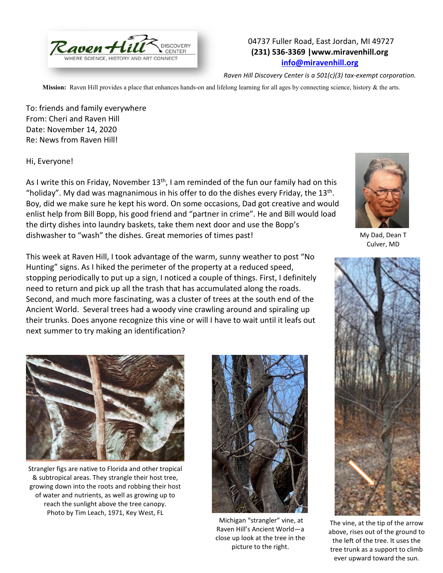

## 04737 Fuller Road, East Jordan, MI 49727 **(231) 536-3369 |www.miravenhill.org [info@miravenhill.org](mailto:info@miravenhill.org)**

*Raven Hill Discovery Center is a 501(c)(3) tax-exempt corporation.*

**Mission:** Raven Hill provides a place that enhances hands-on and lifelong learning for all ages by connecting science, history & the arts.

To: friends and family everywhere From: Cheri and Raven Hill Date: November 14, 2020 Re: News from Raven Hill!

## Hi, Everyone!

As I write this on Friday, November  $13<sup>th</sup>$ , I am reminded of the fun our family had on this "holiday". My dad was magnanimous in his offer to do the dishes every Friday, the  $13<sup>th</sup>$ . Boy, did we make sure he kept his word. On some occasions, Dad got creative and would enlist help from Bill Bopp, his good friend and "partner in crime". He and Bill would load the dirty dishes into laundry baskets, take them next door and use the Bopp's dishwasher to "wash" the dishes. Great memories of times past!

This week at Raven Hill, I took advantage of the warm, sunny weather to post "No Hunting" signs. As I hiked the perimeter of the property at a reduced speed, stopping periodically to put up a sign, I noticed a couple of things. First, I definitely need to return and pick up all the trash that has accumulated along the roads. Second, and much more fascinating, was a cluster of trees at the south end of the Ancient World. Several trees had a woody vine crawling around and spiraling up their trunks. Does anyone recognize this vine or will I have to wait until it leafs out next summer to try making an identification?



My Dad, Dean T Culver, MD



The vine, at the tip of the arrow above, rises out of the ground to the left of the tree. It uses the tree trunk as a support to climb ever upward toward the sun.



Strangler figs are native to Florida and other tropical & subtropical areas. They strangle their host tree, growing down into the roots and robbing their host of water and nutrients, as well as growing up to reach the sunlight above the tree canopy. Photo by Tim Leach, 1971, Key West, FL



Michigan "strangler" vine, at Raven Hill's Ancient World—a close up look at the tree in the picture to the right.